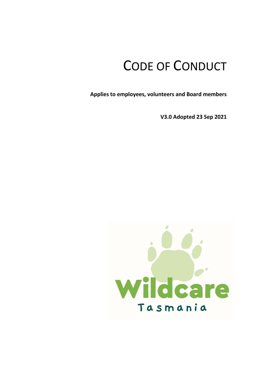# CODE OF CONDUCT

**Applies to employees, volunteers and Board members**

**V3.0 Adopted 23 Sep 2021** 

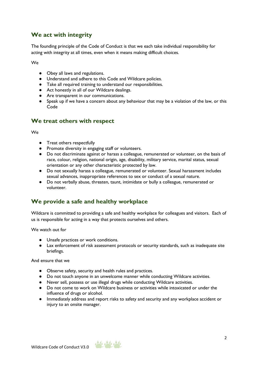# **We act with integrity**

The founding principle of the Code of Conduct is that we each take individual responsibility for acting with integrity at all times, even when it means making difficult choices.

We

- Obey all laws and regulations.
- Understand and adhere to this Code and Wildcare policies.
- Take all required training to understand our responsibilities.
- Act honestly in all of our Wildcare dealings.
- Are transparent in our communications.
- Speak up if we have a concern about any behaviour that may be a violation of the law, or this Code

### **We treat others with respect**

We

- Treat others respectfully
- Promote diversity in engaging staff or volunteers.
- Do not discriminate against or harass a colleague, remunerated or volunteer, on the basis of race, colour, religion, national origin, age, disability, military service, marital status, sexual orientation or any other characteristic protected by law.
- Do not sexually harass a colleague, remunerated or volunteer. Sexual harassment includes sexual advances, inappropriate references to sex or conduct of a sexual nature.
- Do not verbally abuse, threaten, taunt, intimidate or bully a colleague, remunerated or volunteer.

# **We provide a safe and healthy workplace**

Wildcare is committed to providing a safe and healthy workplace for colleagues and visitors. Each of us is responsible for acting in a way that protects ourselves and others.

We watch out for

- Unsafe practices or work conditions.
- Lax enforcement of risk assessment protocols or security standards, such as inadequate site briefings.

And ensure that we

- Observe safety, security and health rules and practices.
- Do not touch anyone in an unwelcome manner while conducting Wildcare activities.
- Never sell, possess or use illegal drugs while conducting Wildcare activities.
- Do not come to work on Wildcare business or activities while intoxicated or under the influence of drugs or alcohol.
- Immediately address and report risks to safety and security and any workplace accident or injury to an onsite manager.

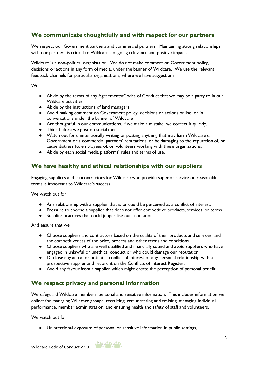# **We communicate thoughtfully and with respect for our partners**

We respect our Government partners and commercial partners. Maintaining strong relationships with our partners is critical to Wildcare's ongoing relevance and positive impact.

Wildcare is a non-political organisation. We do not make comment on Government policy, decisions or actions in any form of media, under the banner of Wildcare. We use the relevant feedback channels for particular organisations, where we have suggestions.

#### We

- Abide by the terms of any Agreements/Codes of Conduct that we may be a party to in our Wildcare activities
- Abide by the instructions of land managers
- Avoid making comment on Government policy, decisions or actions online, or in conversations under the banner of Wildcare.
- Are thoughtful in our communications. If we make a mistake, we correct it quickly.
- Think before we post on social media.
- Watch out for unintentionally writing or posting anything that may harm Wildcare's, Government or a commercial partners' reputations, or be damaging to the reputation of, or cause distress to, employees of, or volunteers working with these organisations.
- Abide by each social media platforms' rules and terms of use.

### **We have healthy and ethical relationships with our suppliers**

Engaging suppliers and subcontractors for Wildcare who provide superior service on reasonable terms is important to Wildcare's success.

We watch out for

- Any relationship with a supplier that is or could be perceived as a conflict of interest.
- Pressure to choose a supplier that does not offer competitive products, services, or terms.
- Supplier practices that could jeopardise our reputation.

And ensure that we

- Choose suppliers and contractors based on the quality of their products and services, and the competitiveness of the price, process and other terms and conditions.
- Choose suppliers who are well qualified and financially sound and avoid suppliers who have engaged in unlawful or unethical conduct or who could damage our reputation.
- Disclose any actual or potential conflict of interest or any personal relationship with a prospective supplier and record it on the Conflicts of Interest Register.
- Avoid any favour from a supplier which might create the perception of personal benefit.

### **We respect privacy and personal information**

We safeguard Wildcare members' personal and sensitive information. This includes information we collect for managing Wildcare groups, recruiting, remunerating and training, managing individual performance, member administration, and ensuring health and safety of staff and volunteers.

We watch out for

● Unintentional exposure of personal or sensitive information in public settings,

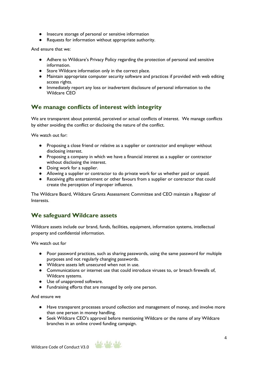- Insecure storage of personal or sensitive information
- Requests for information without appropriate authority.

And ensure that we:

- Adhere to Wildcare's Privacy Policy regarding the protection of personal and sensitive information.
- Store Wildcare information only in the correct place.
- Maintain appropriate computer security software and practices if provided with web editing access rights.
- Immediately report any loss or inadvertent disclosure of personal information to the Wildcare CEO

### **We manage conflicts of interest with integrity**

We are transparent about potential, perceived or actual conflicts of interest. We manage conflicts by either avoiding the conflict or disclosing the nature of the conflict.

We watch out for:

- Proposing a close friend or relative as a supplier or contractor and employer without disclosing interest.
- Proposing a company in which we have a financial interest as a supplier or contractor without disclosing the interest.
- Doing work for a supplier.
- Allowing a supplier or contractor to do private work for us whether paid or unpaid.
- Receiving gifts entertainment or other favours from a supplier or contractor that could create the perception of improper influence.

The Wildcare Board, Wildcare Grants Assessment Committee and CEO maintain a Register of Interests.

#### **We safeguard Wildcare assets**

Wildcare assets include our brand, funds, facilities, equipment, information systems, intellectual property and confidential information.

We watch out for

- Poor password practices, such as sharing passwords, using the same password for multiple purposes and not regularly changing passwords.
- Wildcare assets left unsecured when not in use.
- Communications or internet use that could introduce viruses to, or breach firewalls of, Wildcare systems.
- Use of unapproved software.
- Fundraising efforts that are managed by only one person.

And ensure we

- Have transparent processes around collection and management of money, and involve more than one person in money handling.
- Seek Wildcare CEO's approval before mentioning Wildcare or the name of any Wildcare branches in an online crowd funding campaign.